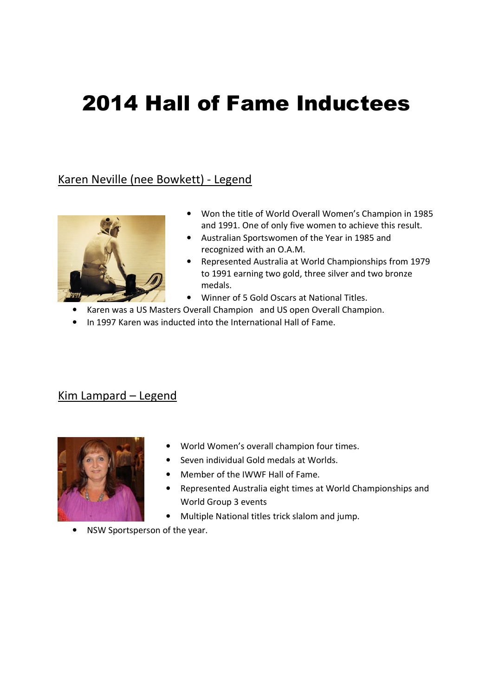# 2014 Hall of Fame Inductees

# Karen Neville (nee Bowkett) - Legend



- Won the title of World Overall Women's Champion in 1985 and 1991. One of only five women to achieve this result.
- Australian Sportswomen of the Year in 1985 and recognized with an O.A.M.
- Represented Australia at World Championships from 1979 to 1991 earning two gold, three silver and two bronze medals.
- Winner of 5 Gold Oscars at National Titles.
- Karen was a US Masters Overall Champion and US open Overall Champion.
- In 1997 Karen was inducted into the International Hall of Fame.

#### Kim Lampard – Legend



- World Women's overall champion four times.
- Seven individual Gold medals at Worlds.
- Member of the IWWF Hall of Fame.
- Represented Australia eight times at World Championships and World Group 3 events
- Multiple National titles trick slalom and jump.
- NSW Sportsperson of the year.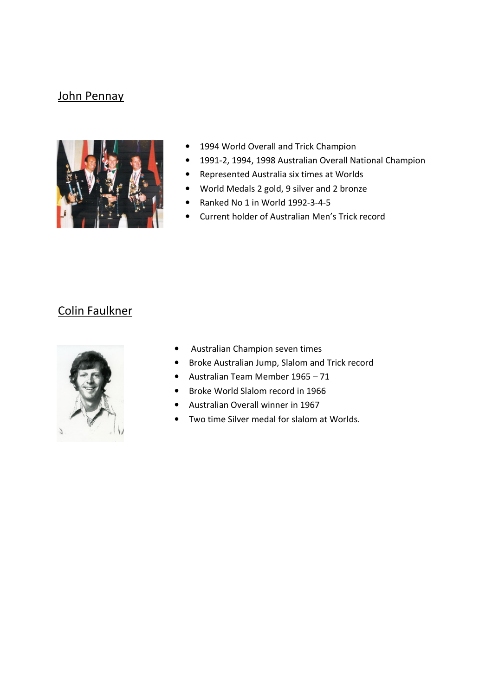#### John Pennay



- 1994 World Overall and Trick Champion
- 1991-2, 1994, 1998 Australian Overall National Champion
- Represented Australia six times at Worlds
- World Medals 2 gold, 9 silver and 2 bronze
- Ranked No 1 in World 1992-3-4-5
- Current holder of Australian Men's Trick record

## Colin Faulkner



- Australian Champion seven times
- Broke Australian Jump, Slalom and Trick record
- Australian Team Member 1965 71
- Broke World Slalom record in 1966
- Australian Overall winner in 1967
- Two time Silver medal for slalom at Worlds.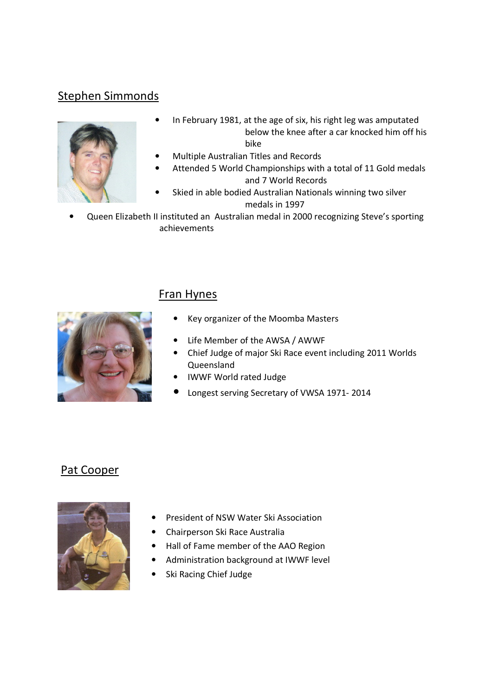# Stephen Simmonds



- In February 1981, at the age of six, his right leg was amputated below the knee after a car knocked him off his bike
- Multiple Australian Titles and Records
- Attended 5 World Championships with a total of 11 Gold medals and 7 World Records
- Skied in able bodied Australian Nationals winning two silver medals in 1997
- Queen Elizabeth II instituted an Australian medal in 2000 recognizing Steve's sporting achievements



#### Fran Hynes

- Key organizer of the Moomba Masters
- Life Member of the AWSA / AWWF
- Chief Judge of major Ski Race event including 2011 Worlds Queensland
- IWWF World rated Judge
- Longest serving Secretary of VWSA 1971- 2014

#### Pat Cooper



- President of NSW Water Ski Association
- Chairperson Ski Race Australia
- Hall of Fame member of the AAO Region
- Administration background at IWWF level
- Ski Racing Chief Judge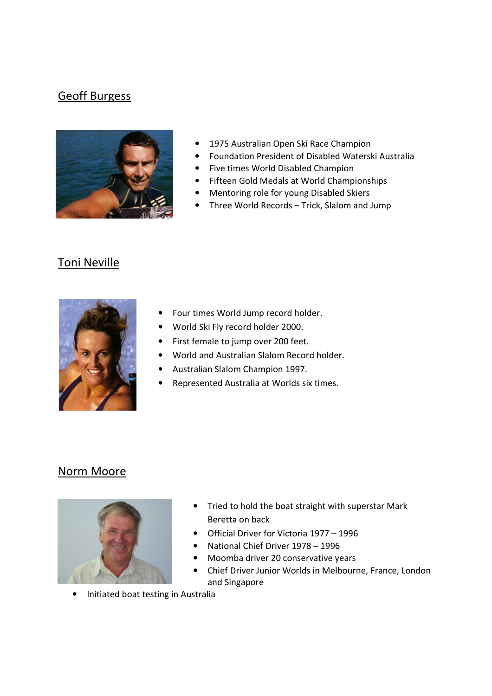### Geoff Burgess



- 1975 Australian Open Ski Race Champion
- Foundation President of Disabled Waterski Australia
- Five times World Disabled Champion
- Fifteen Gold Medals at World Championships
- Mentoring role for young Disabled Skiers
- Three World Records Trick, Slalom and Jump

# Toni Neville



- Four times World Jump record holder.
- World Ski Fly record holder 2000.
- First female to jump over 200 feet.
- World and Australian Slalom Record holder.
- Australian Slalom Champion 1997.
- Represented Australia at Worlds six times.

#### Norm Moore



- Tried to hold the boat straight with superstar Mark Beretta on back
- Official Driver for Victoria 1977 1996
- National Chief Driver 1978 1996
- Moomba driver 20 conservative years
- Chief Driver Junior Worlds in Melbourne, France, London and Singapore
- Initiated boat testing in Australia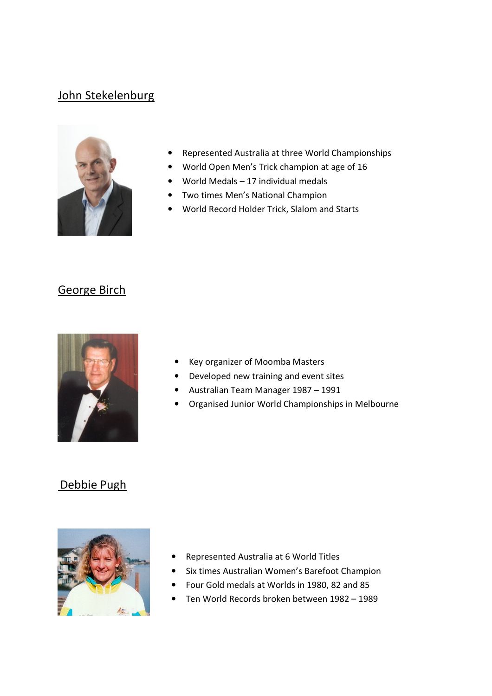#### John Stekelenburg



- Represented Australia at three World Championships
- World Open Men's Trick champion at age of 16
- World Medals  $-17$  individual medals
- Two times Men's National Champion
- World Record Holder Trick, Slalom and Starts

#### George Birch



- Key organizer of Moomba Masters
- Developed new training and event sites
- Australian Team Manager 1987 1991
- Organised Junior World Championships in Melbourne

#### Debbie Pugh



- Represented Australia at 6 World Titles
- Six times Australian Women's Barefoot Champion
- Four Gold medals at Worlds in 1980, 82 and 85
- Ten World Records broken between 1982 1989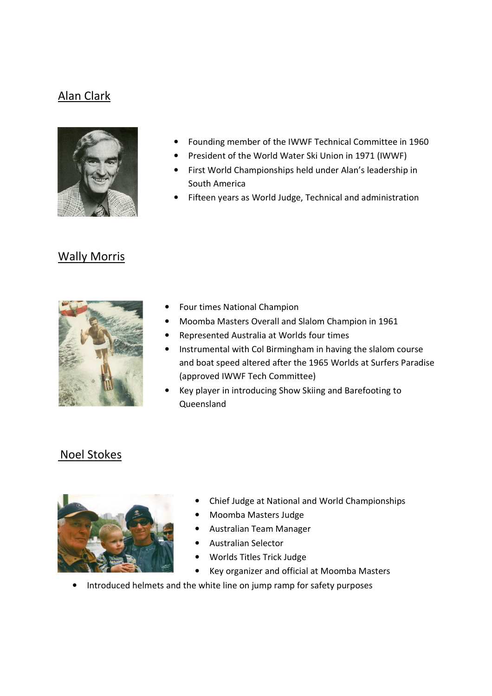# Alan Clark



- Founding member of the IWWF Technical Committee in 1960
- President of the World Water Ski Union in 1971 (IWWF)
- First World Championships held under Alan's leadership in South America
- Fifteen years as World Judge, Technical and administration

#### Wally Morris



- Four times National Champion
- Moomba Masters Overall and Slalom Champion in 1961
- Represented Australia at Worlds four times
- Instrumental with Col Birmingham in having the slalom course and boat speed altered after the 1965 Worlds at Surfers Paradise (approved IWWF Tech Committee)
- Key player in introducing Show Skiing and Barefooting to Queensland

#### Noel Stokes



- Chief Judge at National and World Championships
- Moomba Masters Judge
- Australian Team Manager
- Australian Selector
- Worlds Titles Trick Judge
- Key organizer and official at Moomba Masters
- Introduced helmets and the white line on jump ramp for safety purposes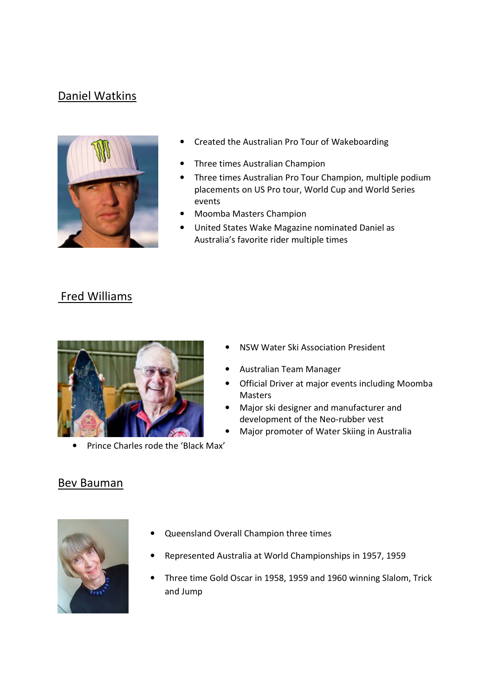## Daniel Watkins



- Created the Australian Pro Tour of Wakeboarding
- Three times Australian Champion
- Three times Australian Pro Tour Champion, multiple podium placements on US Pro tour, World Cup and World Series events
- Moomba Masters Champion
- United States Wake Magazine nominated Daniel as Australia's favorite rider multiple times

#### Fred Williams



• Prince Charles rode the 'Black Max'

- NSW Water Ski Association President
- Australian Team Manager
- Official Driver at major events including Moomba Masters
- Major ski designer and manufacturer and development of the Neo-rubber vest
- Major promoter of Water Skiing in Australia

#### Bev Bauman



- Queensland Overall Champion three times
- Represented Australia at World Championships in 1957, 1959
- Three time Gold Oscar in 1958, 1959 and 1960 winning Slalom, Trick and Jump